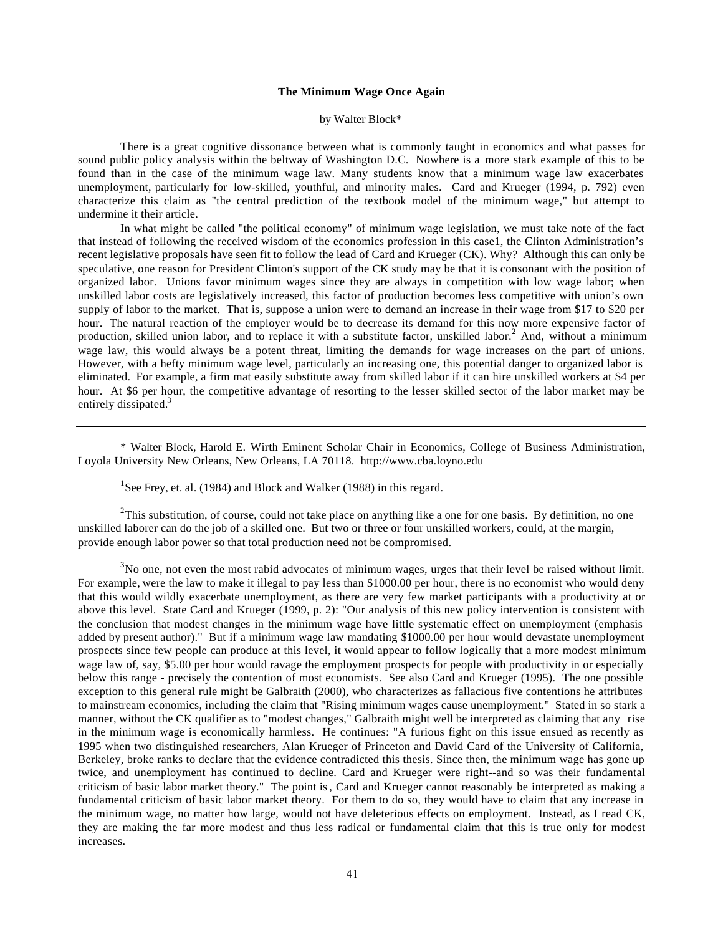## **The Minimum Wage Once Again**

## by Walter Block\*

There is a great cognitive dissonance between what is commonly taught in economics and what passes for sound public policy analysis within the beltway of Washington D.C. Nowhere is a more stark example of this to be found than in the case of the minimum wage law. Many students know that a minimum wage law exacerbates unemployment, particularly for low-skilled, youthful, and minority males. Card and Krueger (1994, p. 792) even characterize this claim as "the central prediction of the textbook model of the minimum wage," but attempt to undermine it their article.

In what might be called "the political economy" of minimum wage legislation, we must take note of the fact that instead of following the received wisdom of the economics profession in this case1, the Clinton Administration's recent legislative proposals have seen fit to follow the lead of Card and Krueger (CK). Why? Although this can only be speculative, one reason for President Clinton's support of the CK study may be that it is consonant with the position of organized labor. Unions favor minimum wages since they are always in competition with low wage labor; when unskilled labor costs are legislatively increased, this factor of production becomes less competitive with union's own supply of labor to the market. That is, suppose a union were to demand an increase in their wage from \$17 to \$20 per hour. The natural reaction of the employer would be to decrease its demand for this now more expensive factor of production, skilled union labor, and to replace it with a substitute factor, unskilled labor.<sup>2</sup> And, without a minimum wage law, this would always be a potent threat, limiting the demands for wage increases on the part of unions. However, with a hefty minimum wage level, particularly an increasing one, this potential danger to organized labor is eliminated. For example, a firm mat easily substitute away from skilled labor if it can hire unskilled workers at \$4 per hour. At \$6 per hour, the competitive advantage of resorting to the lesser skilled sector of the labor market may be entirely dissipated.<sup>3</sup>

\* Walter Block, Harold E. Wirth Eminent Scholar Chair in Economics, College of Business Administration, Loyola University New Orleans, New Orleans, LA 70118. http://www.cba.loyno.edu

<sup>1</sup>See Frey, et. al. (1984) and Block and Walker (1988) in this regard.

<sup>2</sup>This substitution, of course, could not take place on anything like a one for one basis. By definition, no one unskilled laborer can do the job of a skilled one. But two or three or four unskilled workers, could, at the margin, provide enough labor power so that total production need not be compromised.

<sup>3</sup>No one, not even the most rabid advocates of minimum wages, urges that their level be raised without limit. For example, were the law to make it illegal to pay less than \$1000.00 per hour, there is no economist who would deny that this would wildly exacerbate unemployment, as there are very few market participants with a productivity at or above this level. State Card and Krueger (1999, p. 2): "Our analysis of this new policy intervention is consistent with the conclusion that modest changes in the minimum wage have little systematic effect on unemployment (emphasis added by present author)." But if a minimum wage law mandating \$1000.00 per hour would devastate unemployment prospects since few people can produce at this level, it would appear to follow logically that a more modest minimum wage law of, say, \$5.00 per hour would ravage the employment prospects for people with productivity in or especially below this range - precisely the contention of most economists. See also Card and Krueger (1995). The one possible exception to this general rule might be Galbraith (2000), who characterizes as fallacious five contentions he attributes to mainstream economics, including the claim that "Rising minimum wages cause unemployment." Stated in so stark a manner, without the CK qualifier as to "modest changes," Galbraith might well be interpreted as claiming that any rise in the minimum wage is economically harmless. He continues: "A furious fight on this issue ensued as recently as 1995 when two distinguished researchers, Alan Krueger of Princeton and David Card of the University of California, Berkeley, broke ranks to declare that the evidence contradicted this thesis. Since then, the minimum wage has gone up twice, and unemployment has continued to decline. Card and Krueger were right--and so was their fundamental criticism of basic labor market theory." The point is, Card and Krueger cannot reasonably be interpreted as making a fundamental criticism of basic labor market theory. For them to do so, they would have to claim that any increase in the minimum wage, no matter how large, would not have deleterious effects on employment. Instead, as I read CK, they are making the far more modest and thus less radical or fundamental claim that this is true only for modest increases.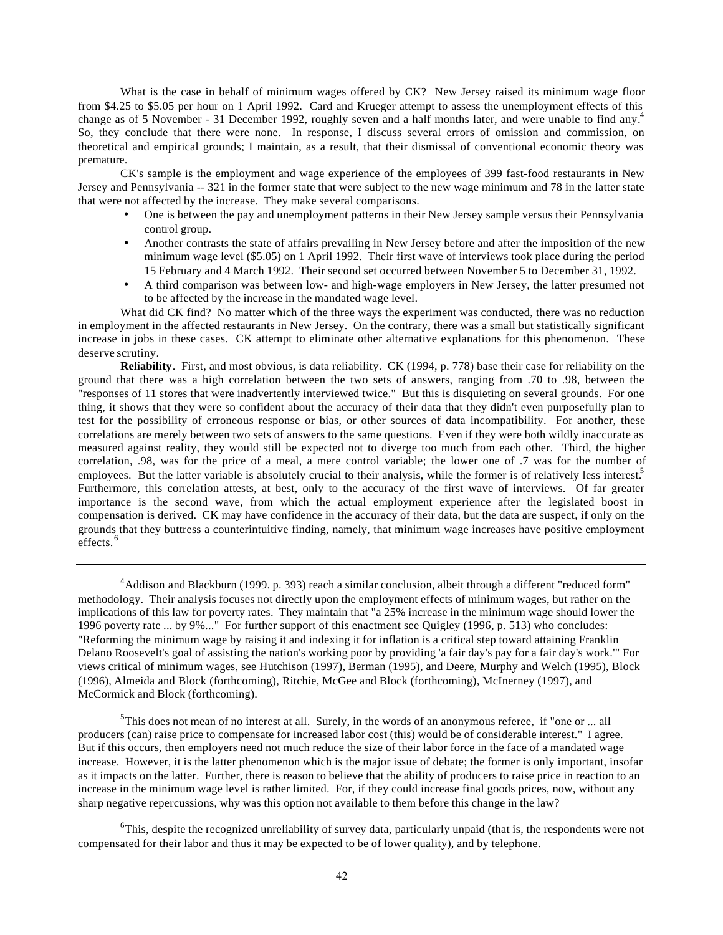What is the case in behalf of minimum wages offered by CK? New Jersey raised its minimum wage floor from \$4.25 to \$5.05 per hour on 1 April 1992. Card and Krueger attempt to assess the unemployment effects of this change as of 5 November - 31 December 1992, roughly seven and a half months later, and were unable to find any.<sup>4</sup> So, they conclude that there were none. In response, I discuss several errors of omission and commission, on theoretical and empirical grounds; I maintain, as a result, that their dismissal of conventional economic theory was premature.

CK's sample is the employment and wage experience of the employees of 399 fast-food restaurants in New Jersey and Pennsylvania -- 321 in the former state that were subject to the new wage minimum and 78 in the latter state that were not affected by the increase. They make several comparisons.

- One is between the pay and unemployment patterns in their New Jersey sample versus their Pennsylvania control group.
- Another contrasts the state of affairs prevailing in New Jersey before and after the imposition of the new minimum wage level (\$5.05) on 1 April 1992. Their first wave of interviews took place during the period 15 February and 4 March 1992. Their second set occurred between November 5 to December 31, 1992.
- A third comparison was between low- and high-wage employers in New Jersey, the latter presumed not to be affected by the increase in the mandated wage level.

What did CK find? No matter which of the three ways the experiment was conducted, there was no reduction in employment in the affected restaurants in New Jersey. On the contrary, there was a small but statistically significant increase in jobs in these cases. CK attempt to eliminate other alternative explanations for this phenomenon. These deserve scrutiny.

**Reliability**. First, and most obvious, is data reliability. CK (1994, p. 778) base their case for reliability on the ground that there was a high correlation between the two sets of answers, ranging from .70 to .98, between the "responses of 11 stores that were inadvertently interviewed twice." But this is disquieting on several grounds. For one thing, it shows that they were so confident about the accuracy of their data that they didn't even purposefully plan to test for the possibility of erroneous response or bias, or other sources of data incompatibility. For another, these correlations are merely between two sets of answers to the same questions. Even if they were both wildly inaccurate as measured against reality, they would still be expected not to diverge too much from each other. Third, the higher correlation, .98, was for the price of a meal, a mere control variable; the lower one of .7 was for the number of employees. But the latter variable is absolutely crucial to their analysis, while the former is of relatively less interest.<sup>5</sup> Furthermore, this correlation attests, at best, only to the accuracy of the first wave of interviews. Of far greater importance is the second wave, from which the actual employment experience after the legislated boost in compensation is derived. CK may have confidence in the accuracy of their data, but the data are suspect, if only on the grounds that they buttress a counterintuitive finding, namely, that minimum wage increases have positive employment effects.<sup>6</sup>

 $4$ Addison and Blackburn (1999. p. 393) reach a similar conclusion, albeit through a different "reduced form" methodology. Their analysis focuses not directly upon the employment effects of minimum wages, but rather on the implications of this law for poverty rates. They maintain that "a 25% increase in the minimum wage should lower the 1996 poverty rate ... by 9%..." For further support of this enactment see Quigley (1996, p. 513) who concludes: "Reforming the minimum wage by raising it and indexing it for inflation is a critical step toward attaining Franklin Delano Roosevelt's goal of assisting the nation's working poor by providing 'a fair day's pay for a fair day's work.'" For views critical of minimum wages, see Hutchison (1997), Berman (1995), and Deere, Murphy and Welch (1995), Block (1996), Almeida and Block (forthcoming), Ritchie, McGee and Block (forthcoming), McInerney (1997), and McCormick and Block (forthcoming).

<sup>5</sup>This does not mean of no interest at all. Surely, in the words of an anonymous referee, if "one or ... all producers (can) raise price to compensate for increased labor cost (this) would be of considerable interest." I agree. But if this occurs, then employers need not much reduce the size of their labor force in the face of a mandated wage increase. However, it is the latter phenomenon which is the major issue of debate; the former is only important, insofar as it impacts on the latter. Further, there is reason to believe that the ability of producers to raise price in reaction to an increase in the minimum wage level is rather limited. For, if they could increase final goods prices, now, without any sharp negative repercussions, why was this option not available to them before this change in the law?

<sup>6</sup>This, despite the recognized unreliability of survey data, particularly unpaid (that is, the respondents were not compensated for their labor and thus it may be expected to be of lower quality), and by telephone.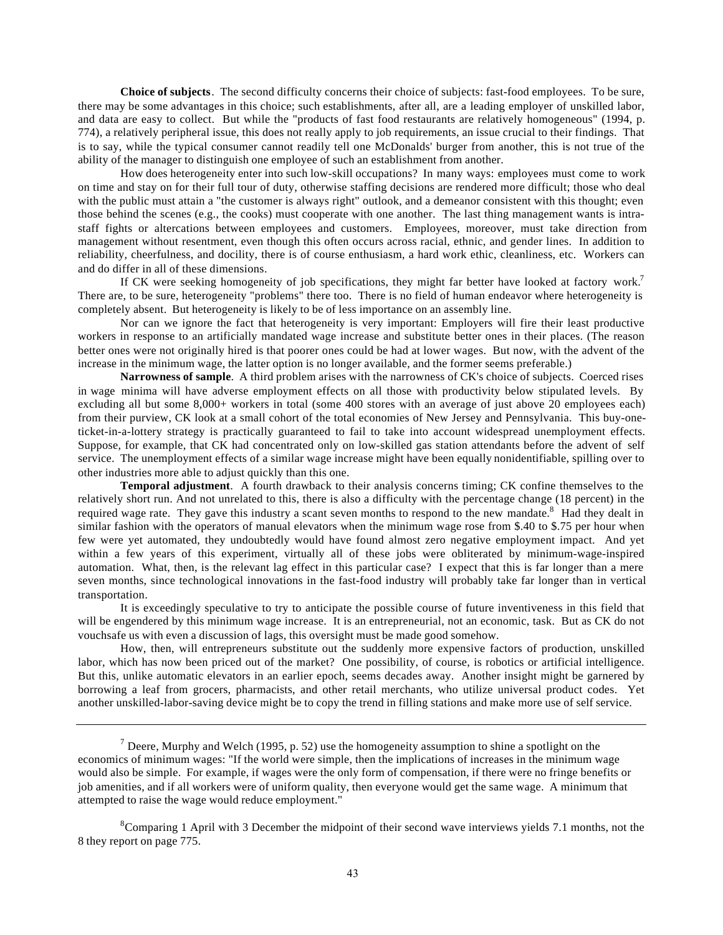**Choice of subjects**. The second difficulty concerns their choice of subjects: fast-food employees. To be sure, there may be some advantages in this choice; such establishments, after all, are a leading employer of unskilled labor, and data are easy to collect. But while the "products of fast food restaurants are relatively homogeneous" (1994, p. 774), a relatively peripheral issue, this does not really apply to job requirements, an issue crucial to their findings. That is to say, while the typical consumer cannot readily tell one McDonalds' burger from another, this is not true of the ability of the manager to distinguish one employee of such an establishment from another.

How does heterogeneity enter into such low-skill occupations? In many ways: employees must come to work on time and stay on for their full tour of duty, otherwise staffing decisions are rendered more difficult; those who deal with the public must attain a "the customer is always right" outlook, and a demeanor consistent with this thought; even those behind the scenes (e.g., the cooks) must cooperate with one another. The last thing management wants is intrastaff fights or altercations between employees and customers. Employees, moreover, must take direction from management without resentment, even though this often occurs across racial, ethnic, and gender lines. In addition to reliability, cheerfulness, and docility, there is of course enthusiasm, a hard work ethic, cleanliness, etc. Workers can and do differ in all of these dimensions.

If CK were seeking homogeneity of job specifications, they might far better have looked at factory work.<sup>7</sup> There are, to be sure, heterogeneity "problems" there too. There is no field of human endeavor where heterogeneity is completely absent. But heterogeneity is likely to be of less importance on an assembly line.

Nor can we ignore the fact that heterogeneity is very important: Employers will fire their least productive workers in response to an artificially mandated wage increase and substitute better ones in their places. (The reason better ones were not originally hired is that poorer ones could be had at lower wages. But now, with the advent of the increase in the minimum wage, the latter option is no longer available, and the former seems preferable.)

**Narrowness of sample**. A third problem arises with the narrowness of CK's choice of subjects. Coerced rises in wage minima will have adverse employment effects on all those with productivity below stipulated levels. By excluding all but some 8,000+ workers in total (some 400 stores with an average of just above 20 employees each) from their purview, CK look at a small cohort of the total economies of New Jersey and Pennsylvania. This buy-oneticket-in-a-lottery strategy is practically guaranteed to fail to take into account widespread unemployment effects. Suppose, for example, that CK had concentrated only on low-skilled gas station attendants before the advent of self service. The unemployment effects of a similar wage increase might have been equally nonidentifiable, spilling over to other industries more able to adjust quickly than this one.

**Temporal adjustment**. A fourth drawback to their analysis concerns timing; CK confine themselves to the relatively short run. And not unrelated to this, there is also a difficulty with the percentage change (18 percent) in the required wage rate. They gave this industry a scant seven months to respond to the new mandate.<sup>8</sup> Had they dealt in similar fashion with the operators of manual elevators when the minimum wage rose from \$.40 to \$.75 per hour when few were yet automated, they undoubtedly would have found almost zero negative employment impact. And yet within a few years of this experiment, virtually all of these jobs were obliterated by minimum-wage-inspired automation. What, then, is the relevant lag effect in this particular case? I expect that this is far longer than a mere seven months, since technological innovations in the fast-food industry will probably take far longer than in vertical transportation.

It is exceedingly speculative to try to anticipate the possible course of future inventiveness in this field that will be engendered by this minimum wage increase. It is an entrepreneurial, not an economic, task. But as CK do not vouchsafe us with even a discussion of lags, this oversight must be made good somehow.

How, then, will entrepreneurs substitute out the suddenly more expensive factors of production, unskilled labor, which has now been priced out of the market? One possibility, of course, is robotics or artificial intelligence. But this, unlike automatic elevators in an earlier epoch, seems decades away. Another insight might be garnered by borrowing a leaf from grocers, pharmacists, and other retail merchants, who utilize universal product codes. Yet another unskilled-labor-saving device might be to copy the trend in filling stations and make more use of self service.

<sup>&</sup>lt;sup>7</sup> Deere, Murphy and Welch (1995, p. 52) use the homogeneity assumption to shine a spotlight on the economics of minimum wages: "If the world were simple, then the implications of increases in the minimum wage would also be simple. For example, if wages were the only form of compensation, if there were no fringe benefits or job amenities, and if all workers were of uniform quality, then everyone would get the same wage. A minimum that attempted to raise the wage would reduce employment."

<sup>&</sup>lt;sup>8</sup>Comparing 1 April with 3 December the midpoint of their second wave interviews yields 7.1 months, not the 8 they report on page 775.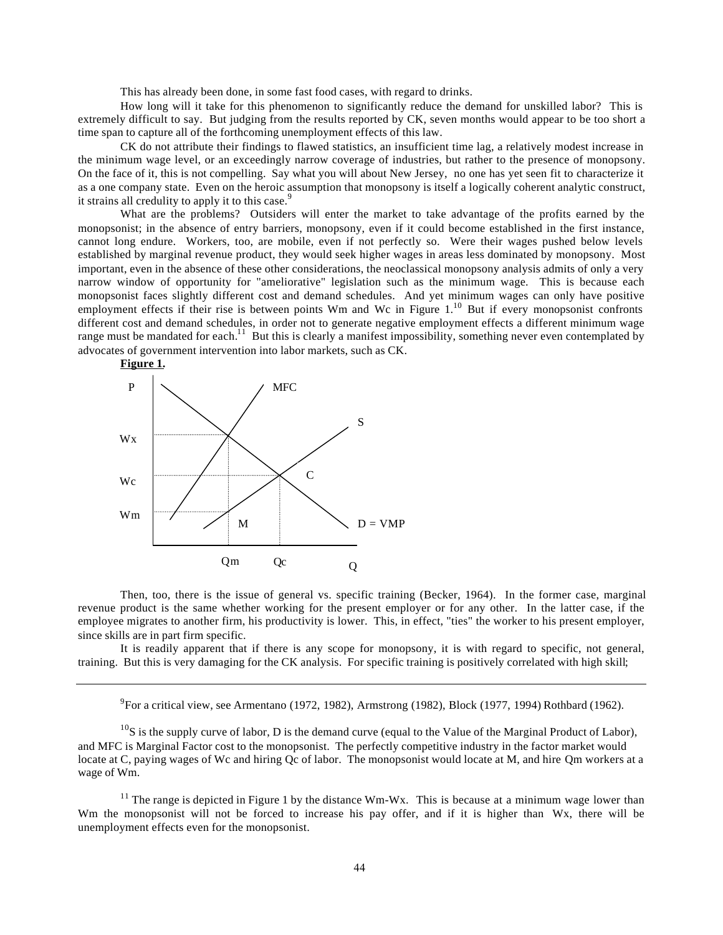This has already been done, in some fast food cases, with regard to drinks.

How long will it take for this phenomenon to significantly reduce the demand for unskilled labor? This is extremely difficult to say. But judging from the results reported by CK, seven months would appear to be too short a time span to capture all of the forthcoming unemployment effects of this law.

CK do not attribute their findings to flawed statistics, an insufficient time lag, a relatively modest increase in the minimum wage level, or an exceedingly narrow coverage of industries, but rather to the presence of monopsony. On the face of it, this is not compelling. Say what you will about New Jersey, no one has yet seen fit to characterize it as a one company state. Even on the heroic assumption that monopsony is itself a logically coherent analytic construct, it strains all credulity to apply it to this case.<sup>9</sup>

What are the problems? Outsiders will enter the market to take advantage of the profits earned by the monopsonist; in the absence of entry barriers, monopsony, even if it could become established in the first instance, cannot long endure. Workers, too, are mobile, even if not perfectly so. Were their wages pushed below levels established by marginal revenue product, they would seek higher wages in areas less dominated by monopsony. Most important, even in the absence of these other considerations, the neoclassical monopsony analysis admits of only a very narrow window of opportunity for "ameliorative" legislation such as the minimum wage. This is because each monopsonist faces slightly different cost and demand schedules. And yet minimum wages can only have positive employment effects if their rise is between points Wm and Wc in Figure 1.<sup>10</sup> But if every monopsonist confronts different cost and demand schedules, in order not to generate negative employment effects a different minimum wage range must be mandated for each.<sup>11</sup> But this is clearly a manifest impossibility, something never even contemplated by advocates of government intervention into labor markets, such as CK.



Then, too, there is the issue of general vs. specific training (Becker, 1964). In the former case, marginal revenue product is the same whether working for the present employer or for any other. In the latter case, if the employee migrates to another firm, his productivity is lower. This, in effect, "ties" the worker to his present employer, since skills are in part firm specific.

It is readily apparent that if there is any scope for monopsony, it is with regard to specific, not general, training. But this is very damaging for the CK analysis. For specific training is positively correlated with high skill;

<sup>9</sup> For a critical view, see Armentano (1972, 1982), Armstrong (1982), Block (1977, 1994) Rothbard (1962).

 $10$ S is the supply curve of labor, D is the demand curve (equal to the Value of the Marginal Product of Labor), and MFC is Marginal Factor cost to the monopsonist. The perfectly competitive industry in the factor market would locate at C, paying wages of Wc and hiring Qc of labor. The monopsonist would locate at M, and hire Qm workers at a wage of Wm.

 $11$  The range is depicted in Figure 1 by the distance Wm-Wx. This is because at a minimum wage lower than Wm the monopsonist will not be forced to increase his pay offer, and if it is higher than Wx, there will be unemployment effects even for the monopsonist.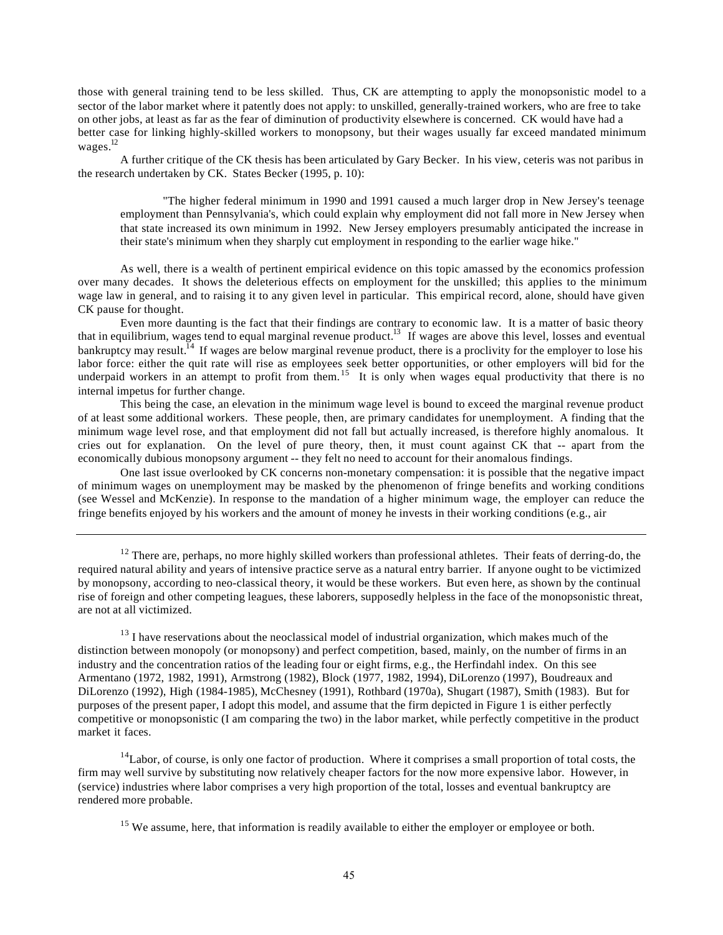those with general training tend to be less skilled. Thus, CK are attempting to apply the monopsonistic model to a sector of the labor market where it patently does not apply: to unskilled, generally-trained workers, who are free to take on other jobs, at least as far as the fear of diminution of productivity elsewhere is concerned. CK would have had a better case for linking highly-skilled workers to monopsony, but their wages usually far exceed mandated minimum wages.<sup>12</sup>

A further critique of the CK thesis has been articulated by Gary Becker. In his view, ceteris was not paribus in the research undertaken by CK. States Becker (1995, p. 10):

"The higher federal minimum in 1990 and 1991 caused a much larger drop in New Jersey's teenage employment than Pennsylvania's, which could explain why employment did not fall more in New Jersey when that state increased its own minimum in 1992. New Jersey employers presumably anticipated the increase in their state's minimum when they sharply cut employment in responding to the earlier wage hike."

As well, there is a wealth of pertinent empirical evidence on this topic amassed by the economics profession over many decades. It shows the deleterious effects on employment for the unskilled; this applies to the minimum wage law in general, and to raising it to any given level in particular. This empirical record, alone, should have given CK pause for thought.

Even more daunting is the fact that their findings are contrary to economic law. It is a matter of basic theory that in equilibrium, wages tend to equal marginal revenue product.<sup>13</sup> If wages are above this level, losses and eventual bankruptcy may result.<sup>14</sup> If wages are below marginal revenue product, there is a proclivity for the employer to lose his labor force: either the quit rate will rise as employees seek better opportunities, or other employers will bid for the underpaid workers in an attempt to profit from them.<sup>15</sup> It is only when wages equal productivity that there is no internal impetus for further change.

This being the case, an elevation in the minimum wage level is bound to exceed the marginal revenue product of at least some additional workers. These people, then, are primary candidates for unemployment. A finding that the minimum wage level rose, and that employment did not fall but actually increased, is therefore highly anomalous. It cries out for explanation. On the level of pure theory, then, it must count against CK that -- apart from the economically dubious monopsony argument -- they felt no need to account for their anomalous findings.

One last issue overlooked by CK concerns non-monetary compensation: it is possible that the negative impact of minimum wages on unemployment may be masked by the phenomenon of fringe benefits and working conditions (see Wessel and McKenzie). In response to the mandation of a higher minimum wage, the employer can reduce the fringe benefits enjoyed by his workers and the amount of money he invests in their working conditions (e.g., air

 $12$  There are, perhaps, no more highly skilled workers than professional athletes. Their feats of derring-do, the required natural ability and years of intensive practice serve as a natural entry barrier. If anyone ought to be victimized by monopsony, according to neo-classical theory, it would be these workers. But even here, as shown by the continual rise of foreign and other competing leagues, these laborers, supposedly helpless in the face of the monopsonistic threat, are not at all victimized.

 $13$  I have reservations about the neoclassical model of industrial organization, which makes much of the distinction between monopoly (or monopsony) and perfect competition, based, mainly, on the number of firms in an industry and the concentration ratios of the leading four or eight firms, e.g., the Herfindahl index. On this see Armentano (1972, 1982, 1991), Armstrong (1982), Block (1977, 1982, 1994), DiLorenzo (1997), Boudreaux and DiLorenzo (1992), High (1984-1985), McChesney (1991), Rothbard (1970a), Shugart (1987), Smith (1983). But for purposes of the present paper, I adopt this model, and assume that the firm depicted in Figure 1 is either perfectly competitive or monopsonistic (I am comparing the two) in the labor market, while perfectly competitive in the product market it faces.

<sup>14</sup>Labor, of course, is only one factor of production. Where it comprises a small proportion of total costs, the firm may well survive by substituting now relatively cheaper factors for the now more expensive labor. However, in (service) industries where labor comprises a very high proportion of the total, losses and eventual bankruptcy are rendered more probable.

<sup>15</sup> We assume, here, that information is readily available to either the employer or employee or both.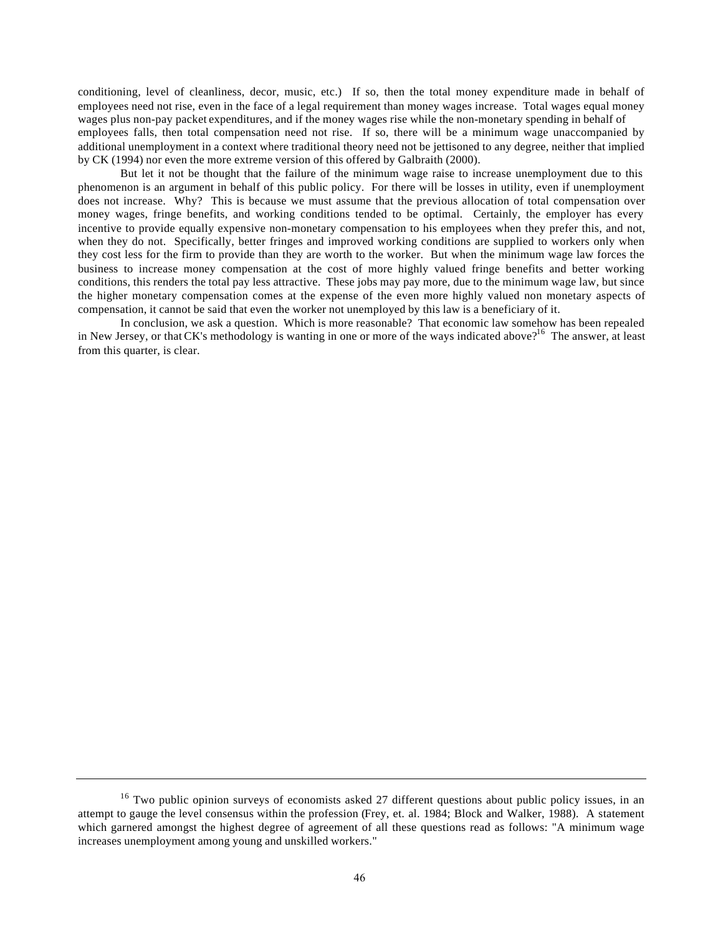conditioning, level of cleanliness, decor, music, etc.) If so, then the total money expenditure made in behalf of employees need not rise, even in the face of a legal requirement than money wages increase. Total wages equal money wages plus non-pay packet expenditures, and if the money wages rise while the non-monetary spending in behalf of employees falls, then total compensation need not rise. If so, there will be a minimum wage unaccompanied by additional unemployment in a context where traditional theory need not be jettisoned to any degree, neither that implied by CK (1994) nor even the more extreme version of this offered by Galbraith (2000).

But let it not be thought that the failure of the minimum wage raise to increase unemployment due to this phenomenon is an argument in behalf of this public policy. For there will be losses in utility, even if unemployment does not increase. Why? This is because we must assume that the previous allocation of total compensation over money wages, fringe benefits, and working conditions tended to be optimal. Certainly, the employer has every incentive to provide equally expensive non-monetary compensation to his employees when they prefer this, and not, when they do not. Specifically, better fringes and improved working conditions are supplied to workers only when they cost less for the firm to provide than they are worth to the worker. But when the minimum wage law forces the business to increase money compensation at the cost of more highly valued fringe benefits and better working conditions, this renders the total pay less attractive. These jobs may pay more, due to the minimum wage law, but since the higher monetary compensation comes at the expense of the even more highly valued non monetary aspects of compensation, it cannot be said that even the worker not unemployed by this law is a beneficiary of it.

In conclusion, we ask a question. Which is more reasonable? That economic law somehow has been repealed in New Jersey, or that CK's methodology is wanting in one or more of the ways indicated above?<sup>16</sup> The answer, at least from this quarter, is clear.

<sup>&</sup>lt;sup>16</sup> Two public opinion surveys of economists asked 27 different questions about public policy issues, in an attempt to gauge the level consensus within the profession (Frey, et. al. 1984; Block and Walker, 1988). A statement which garnered amongst the highest degree of agreement of all these questions read as follows: "A minimum wage increases unemployment among young and unskilled workers."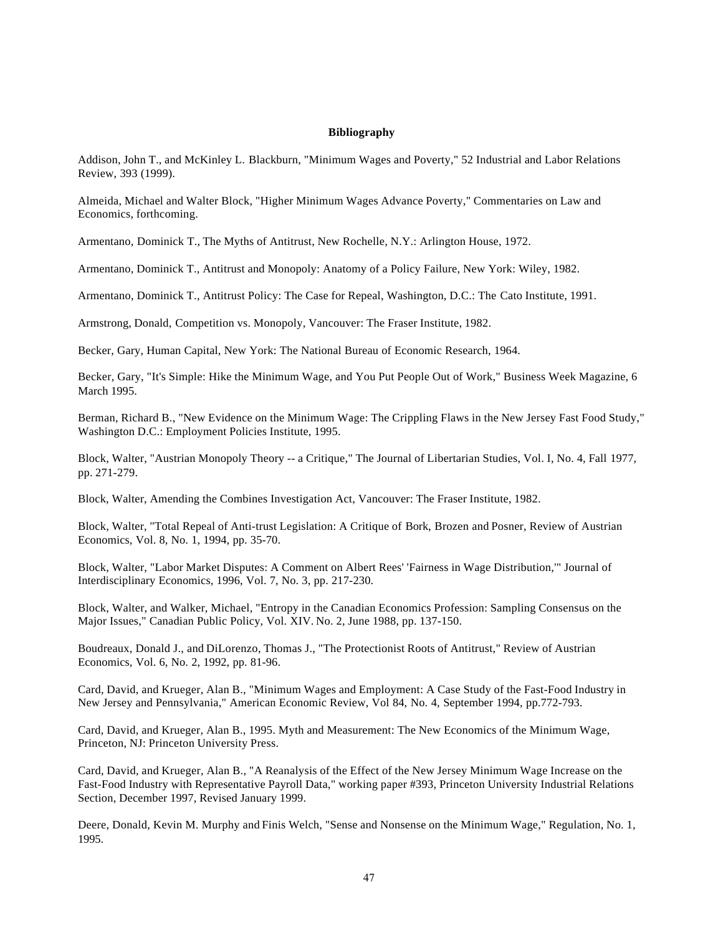## **Bibliography**

Addison, John T., and McKinley L. Blackburn, "Minimum Wages and Poverty," 52 Industrial and Labor Relations Review, 393 (1999).

Almeida, Michael and Walter Block, "Higher Minimum Wages Advance Poverty," Commentaries on Law and Economics, forthcoming.

Armentano, Dominick T., The Myths of Antitrust, New Rochelle, N.Y.: Arlington House, 1972.

Armentano, Dominick T., Antitrust and Monopoly: Anatomy of a Policy Failure, New York: Wiley, 1982.

Armentano, Dominick T., Antitrust Policy: The Case for Repeal, Washington, D.C.: The Cato Institute, 1991.

Armstrong, Donald, Competition vs. Monopoly, Vancouver: The Fraser Institute, 1982.

Becker, Gary, Human Capital, New York: The National Bureau of Economic Research, 1964.

Becker, Gary, "It's Simple: Hike the Minimum Wage, and You Put People Out of Work," Business Week Magazine, 6 March 1995.

Berman, Richard B., "New Evidence on the Minimum Wage: The Crippling Flaws in the New Jersey Fast Food Study," Washington D.C.: Employment Policies Institute, 1995.

Block, Walter, "Austrian Monopoly Theory -- a Critique," The Journal of Libertarian Studies, Vol. I, No. 4, Fall 1977, pp. 271-279.

Block, Walter, Amending the Combines Investigation Act, Vancouver: The Fraser Institute, 1982.

Block, Walter, "Total Repeal of Anti-trust Legislation: A Critique of Bork, Brozen and Posner, Review of Austrian Economics, Vol. 8, No. 1, 1994, pp. 35-70.

Block, Walter, "Labor Market Disputes: A Comment on Albert Rees' 'Fairness in Wage Distribution,'" Journal of Interdisciplinary Economics, 1996, Vol. 7, No. 3, pp. 217-230.

Block, Walter, and Walker, Michael, "Entropy in the Canadian Economics Profession: Sampling Consensus on the Major Issues," Canadian Public Policy, Vol. XIV. No. 2, June 1988, pp. 137-150.

Boudreaux, Donald J., and DiLorenzo, Thomas J., "The Protectionist Roots of Antitrust," Review of Austrian Economics, Vol. 6, No. 2, 1992, pp. 81-96.

Card, David, and Krueger, Alan B., "Minimum Wages and Employment: A Case Study of the Fast-Food Industry in New Jersey and Pennsylvania," American Economic Review, Vol 84, No. 4, September 1994, pp.772-793.

Card, David, and Krueger, Alan B., 1995. Myth and Measurement: The New Economics of the Minimum Wage, Princeton, NJ: Princeton University Press.

Card, David, and Krueger, Alan B., "A Reanalysis of the Effect of the New Jersey Minimum Wage Increase on the Fast-Food Industry with Representative Payroll Data," working paper #393, Princeton University Industrial Relations Section, December 1997, Revised January 1999.

Deere, Donald, Kevin M. Murphy and Finis Welch, "Sense and Nonsense on the Minimum Wage," Regulation, No. 1, 1995.